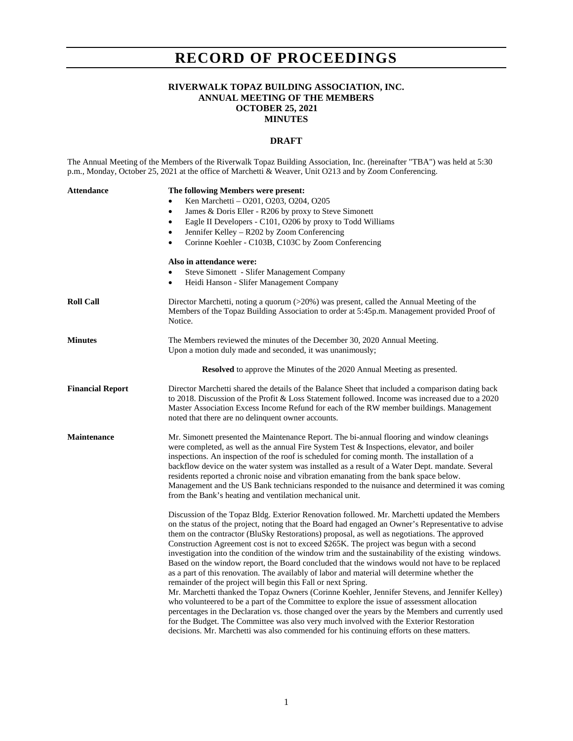## **RECORD OF PROCEEDINGS**

## **RIVERWALK TOPAZ BUILDING ASSOCIATION, INC. ANNUAL MEETING OF THE MEMBERS OCTOBER 25, 2021 MINUTES**

## **DRAFT**

The Annual Meeting of the Members of the Riverwalk Topaz Building Association, Inc. (hereinafter "TBA") was held at 5:30 p.m., Monday, October 25, 2021 at the office of Marchetti & Weaver, Unit O213 and by Zoom Conferencing.

| Attendance              | The following Members were present:<br>Ken Marchetti - O201, O203, O204, O205<br>$\bullet$<br>James & Doris Eller - R206 by proxy to Steve Simonett<br>٠<br>Eagle II Developers - C101, O206 by proxy to Todd Williams<br>$\bullet$<br>Jennifer Kelley - R202 by Zoom Conferencing<br>$\bullet$<br>Corinne Koehler - C103B, C103C by Zoom Conferencing<br>$\bullet$                                                                                                                                                                                                                                                                                                                                                                                                                                                                                                                                                                                                                                                                                                                                                                                                                                                                                                      |
|-------------------------|--------------------------------------------------------------------------------------------------------------------------------------------------------------------------------------------------------------------------------------------------------------------------------------------------------------------------------------------------------------------------------------------------------------------------------------------------------------------------------------------------------------------------------------------------------------------------------------------------------------------------------------------------------------------------------------------------------------------------------------------------------------------------------------------------------------------------------------------------------------------------------------------------------------------------------------------------------------------------------------------------------------------------------------------------------------------------------------------------------------------------------------------------------------------------------------------------------------------------------------------------------------------------|
|                         | Also in attendance were:<br>Steve Simonett - Slifer Management Company<br>Heidi Hanson - Slifer Management Company<br>$\bullet$                                                                                                                                                                                                                                                                                                                                                                                                                                                                                                                                                                                                                                                                                                                                                                                                                                                                                                                                                                                                                                                                                                                                          |
| <b>Roll Call</b>        | Director Marchetti, noting a quorum $(>20\%)$ was present, called the Annual Meeting of the<br>Members of the Topaz Building Association to order at 5:45p.m. Management provided Proof of<br>Notice.                                                                                                                                                                                                                                                                                                                                                                                                                                                                                                                                                                                                                                                                                                                                                                                                                                                                                                                                                                                                                                                                    |
| <b>Minutes</b>          | The Members reviewed the minutes of the December 30, 2020 Annual Meeting.<br>Upon a motion duly made and seconded, it was unanimously;                                                                                                                                                                                                                                                                                                                                                                                                                                                                                                                                                                                                                                                                                                                                                                                                                                                                                                                                                                                                                                                                                                                                   |
|                         | <b>Resolved</b> to approve the Minutes of the 2020 Annual Meeting as presented.                                                                                                                                                                                                                                                                                                                                                                                                                                                                                                                                                                                                                                                                                                                                                                                                                                                                                                                                                                                                                                                                                                                                                                                          |
| <b>Financial Report</b> | Director Marchetti shared the details of the Balance Sheet that included a comparison dating back<br>to 2018. Discussion of the Profit & Loss Statement followed. Income was increased due to a 2020<br>Master Association Excess Income Refund for each of the RW member buildings. Management<br>noted that there are no delinquent owner accounts.                                                                                                                                                                                                                                                                                                                                                                                                                                                                                                                                                                                                                                                                                                                                                                                                                                                                                                                    |
| <b>Maintenance</b>      | Mr. Simonett presented the Maintenance Report. The bi-annual flooring and window cleanings<br>were completed, as well as the annual Fire System Test & Inspections, elevator, and boiler<br>inspections. An inspection of the roof is scheduled for coming month. The installation of a<br>backflow device on the water system was installed as a result of a Water Dept. mandate. Several<br>residents reported a chronic noise and vibration emanating from the bank space below.<br>Management and the US Bank technicians responded to the nuisance and determined it was coming<br>from the Bank's heating and ventilation mechanical unit.                                                                                                                                                                                                                                                                                                                                                                                                                                                                                                                                                                                                                         |
|                         | Discussion of the Topaz Bldg. Exterior Renovation followed. Mr. Marchetti updated the Members<br>on the status of the project, noting that the Board had engaged an Owner's Representative to advise<br>them on the contractor (BluSky Restorations) proposal, as well as negotiations. The approved<br>Construction Agreement cost is not to exceed \$265K. The project was begun with a second<br>investigation into the condition of the window trim and the sustainability of the existing windows.<br>Based on the window report, the Board concluded that the windows would not have to be replaced<br>as a part of this renovation. The availably of labor and material will determine whether the<br>remainder of the project will begin this Fall or next Spring.<br>Mr. Marchetti thanked the Topaz Owners (Corinne Koehler, Jennifer Stevens, and Jennifer Kelley)<br>who volunteered to be a part of the Committee to explore the issue of assessment allocation<br>percentages in the Declaration vs. those changed over the years by the Members and currently used<br>for the Budget. The Committee was also very much involved with the Exterior Restoration<br>decisions. Mr. Marchetti was also commended for his continuing efforts on these matters. |